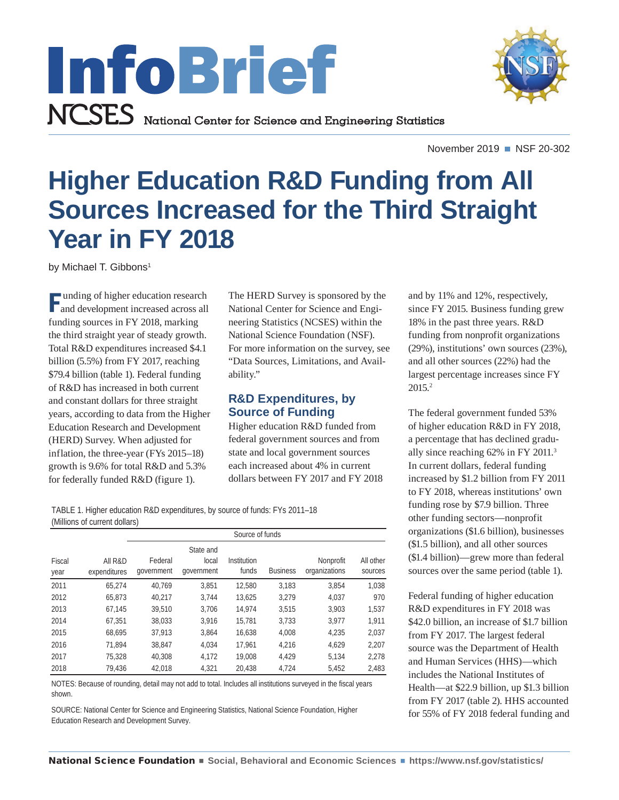

November 2019 ■ NSF 20-302

# <span id="page-0-0"></span>**Higher Education R&D Funding from All Sources Increased for the Third Straight Year in FY 2018**

by Michael T. Gibbons<sup>1</sup>

F unding of higher education research and development increased across all funding sources in FY 2018, marking the third straight year of steady growth. Total R&D expenditures increased \$4.1 billion (5.5%) from FY 2017, reaching \$79.4 billion (table 1). Federal funding of R&D has increased in both current and constant dollars for three straight years, according to data from the Higher Education Research and Development (HERD) Survey. When adjusted for inflation, the three-year (FYs 2015–18) growth is 9.6% for total R&D and 5.3% for federally funded R&D (figure 1).

The HERD Survey is sponsored by the National Center for Science and Engineering Statistics (NCSES) within the National Science Foundation (NSF). For more information on the survey, see "Data Sources, Limitations, and Availability."

## **R&D Expenditures, by Source of Funding**

Higher education R&D funded from federal government sources and from state and local government sources each increased about 4% in current dollars between FY 2017 and FY 2018

TABLE 1. Higher education R&D expenditures, by source of funds: FYs 2011–18 (Millions of current dollars)

|                |                         | Source of funds       |                                  |                      |                 |                            |                      |
|----------------|-------------------------|-----------------------|----------------------------------|----------------------|-----------------|----------------------------|----------------------|
| Fiscal<br>year | All R&D<br>expenditures | Federal<br>government | State and<br>local<br>government | Institution<br>funds | <b>Business</b> | Nonprofit<br>organizations | All other<br>sources |
| 2011           | 65.274                  | 40.769                | 3.851                            | 12,580               | 3,183           | 3,854                      | 1,038                |
| 2012           | 65,873                  | 40,217                | 3.744                            | 13.625               | 3,279           | 4,037                      | 970                  |
| 2013           | 67,145                  | 39,510                | 3.706                            | 14.974               | 3,515           | 3,903                      | 1,537                |
| 2014           | 67.351                  | 38,033                | 3.916                            | 15.781               | 3.733           | 3.977                      | 1,911                |
| 2015           | 68.695                  | 37,913                | 3.864                            | 16.638               | 4.008           | 4.235                      | 2,037                |
| 2016           | 71.894                  | 38.847                | 4.034                            | 17.961               | 4.216           | 4.629                      | 2.207                |
| 2017           | 75,328                  | 40.308                | 4.172                            | 19,008               | 4.429           | 5,134                      | 2.278                |
| 2018           | 79,436                  | 42.018                | 4.321                            | 20,438               | 4,724           | 5,452                      | 2,483                |

NOTES: Because of rounding, detail may not add to total. Includes all institutions surveyed in the fiscal years shown.

SOURCE: National Center for Science and Engineering Statistics, National Science Foundation, Higher Education Research and Development Survey.

and by 11% and 12%, respectively, since FY 2015. Business funding grew 18% in the past three years. R&D funding from nonprofit organizations (29%), institutions' own sources (23%), and all other sources (22%) had the largest percentage increases since FY 2015[.2](#page-6-0)

The federal government funded 53% of higher education R&D in FY 2018, a percentage that has declined gradually since reaching 62% in FY 2011.[3](#page-6-0) In current dollars, federal funding increased by \$1.2 billion from FY 2011 to FY 2018, whereas institutions' own funding rose by \$7.9 billion. Three other funding sectors—nonprofit organizations (\$1.6 billion), businesses (\$1.5 billion), and all other sources (\$1.4 billion)—grew more than federal sources over the same period (table 1).

Federal funding of higher education R&D expenditures in FY 2018 was \$42.0 billion, an increase of \$1.7 billion from FY 2017. The largest federal source was the Department of Health and Human Services (HHS)—which includes the National Institutes of Health—at \$22.9 billion, up \$1.3 billion from FY 2017 (table 2). HHS accounted for 55% of FY 2018 federal funding and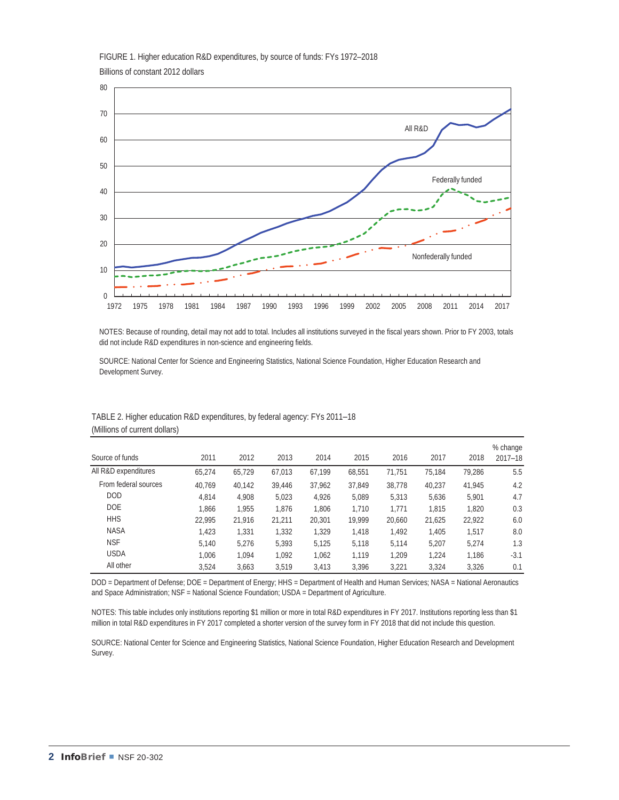FIGURE 1. Higher education R&D expenditures, by source of funds: FYs 1972–2018 Billions of constant 2012 dollars



NOTES: Because of rounding, detail may not add to total. Includes all institutions surveyed in the fiscal years shown. Prior to FY 2003, totals did not include R&D expenditures in non-science and engineering fields.

SOURCE: National Center for Science and Engineering Statistics, National Science Foundation, Higher Education Research and Development Survey.

| Source of funds      | 2011   | 2012   | 2013   | 2014   | 2015   | 2016   | 2017   | 2018   | % change<br>$2017 - 18$ |
|----------------------|--------|--------|--------|--------|--------|--------|--------|--------|-------------------------|
| All R&D expenditures | 65.274 | 65.729 | 67,013 | 67.199 | 68,551 | 71.751 | 75.184 | 79.286 | 5.5                     |
| From federal sources | 40.769 | 40.142 | 39.446 | 37.962 | 37.849 | 38.778 | 40.237 | 41.945 | 4.2                     |
| <b>DOD</b>           | 4.814  | 4.908  | 5,023  | 4.926  | 5,089  | 5,313  | 5.636  | 5.901  | 4.7                     |
| DOE.                 | 1.866  | 1.955  | 1.876  | 1.806  | 1.710  | 1.771  | 1.815  | 1.820  | 0.3                     |
| <b>HHS</b>           | 22.995 | 21.916 | 21,211 | 20,301 | 19.999 | 20,660 | 21,625 | 22,922 | 6.0                     |
| <b>NASA</b>          | 1.423  | 1,331  | 1,332  | 1,329  | 1,418  | 1.492  | 1.405  | 1.517  | 8.0                     |
| <b>NSF</b>           | 5.140  | 5.276  | 5.393  | 5.125  | 5.118  | 5.114  | 5.207  | 5.274  | 1.3                     |
| <b>USDA</b>          | 1.006  | 1.094  | 1.092  | 1.062  | 1.119  | 1.209  | 1.224  | 1.186  | $-3.1$                  |
| All other            | 3.524  | 3.663  | 3.519  | 3.413  | 3.396  | 3.221  | 3.324  | 3.326  | 0.1                     |

#### TABLE 2. Higher education R&D expenditures, by federal agency: FYs 2011–18 (Millions of current dollars)

DOD = Department of Defense; DOE = Department of Energy; HHS = Department of Health and Human Services; NASA = National Aeronautics and Space Administration; NSF = National Science Foundation; USDA = Department of Agriculture.

NOTES: This table includes only institutions reporting \$1 million or more in total R&D expenditures in FY 2017. Institutions reporting less than \$1 million in total R&D expenditures in FY 2017 completed a shorter version of the survey form in FY 2018 that did not include this question.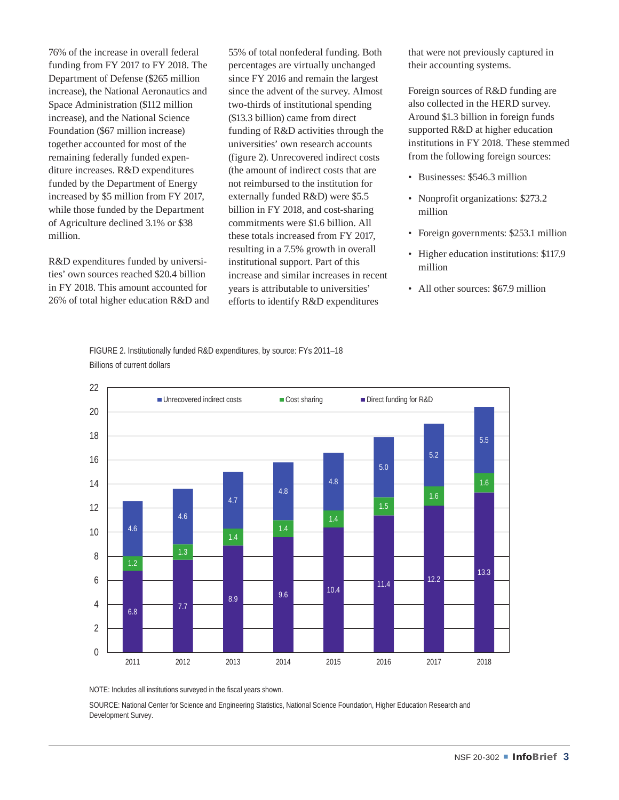76% of the increase in overall federal funding from FY 2017 to FY 2018. The Department of Defense (\$265 million increase), the National Aeronautics and Space Administration (\$112 million increase), and the National Science Foundation (\$67 million increase) together accounted for most of the remaining federally funded expenditure increases. R&D expenditures funded by the Department of Energy increased by \$5 million from FY 2017, while those funded by the Department of Agriculture declined 3.1% or \$38 million.

R&D expenditures funded by universities' own sources reached \$20.4 billion in FY 2018. This amount accounted for 26% of total higher education R&D and 55% of total nonfederal funding. Both percentages are virtually unchanged since FY 2016 and remain the largest since the advent of the survey. Almost two-thirds of institutional spending (\$13.3 billion) came from direct funding of R&D activities through the universities' own research accounts (figure 2). Unrecovered indirect costs (the amount of indirect costs that are not reimbursed to the institution for externally funded R&D) were \$5.5 billion in FY 2018, and cost-sharing commitments were \$1.6 billion. All these totals increased from FY 2017, resulting in a 7.5% growth in overall institutional support. Part of this increase and similar increases in recent years is attributable to universities' efforts to identify R&D expenditures

that were not previously captured in their accounting systems.

Foreign sources of R&D funding are also collected in the HERD survey. Around \$1.3 billion in foreign funds supported R&D at higher education institutions in FY 2018. These stemmed from the following foreign sources:

- Businesses: \$546.3 million
- Nonprofit organizations: \$273.2 million
- Foreign governments: \$253.1 million
- Higher education institutions: \$117.9 million
- All other sources: \$67.9 million

FIGURE 2. Institutionally funded R&D expenditures, by source: FYs 2011–18 Billions of current dollars



NOTE: Includes all institutions surveyed in the fiscal years shown.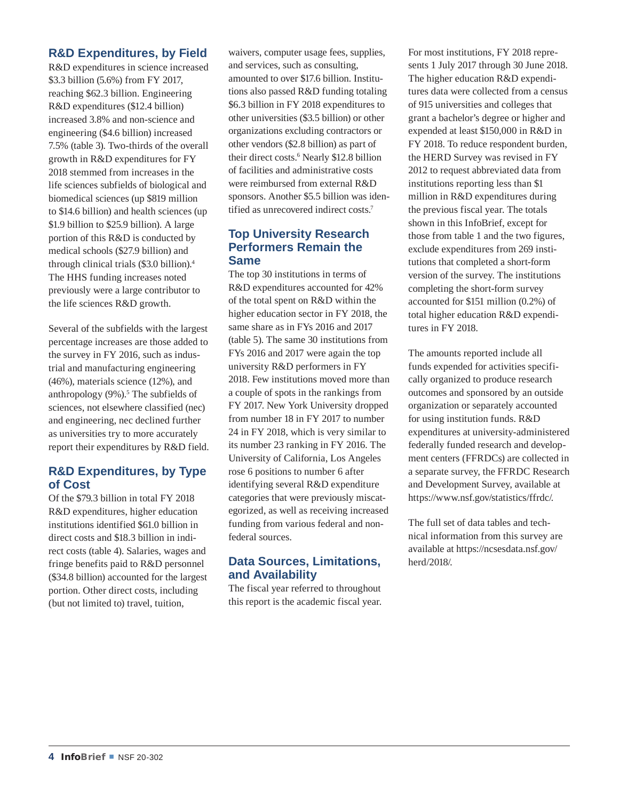## <span id="page-3-0"></span>**R&D Expenditures, by Field**

R&D expenditures in science increased \$3.3 billion (5.6%) from FY 2017, reaching \$62.3 billion. Engineering R&D expenditures (\$12.4 billion) increased 3.8% and non-science and engineering (\$4.6 billion) increased 7.5% (table 3). Two-thirds of the overall growth in R&D expenditures for FY 2018 stemmed from increases in the life sciences subfields of biological and biomedical sciences (up \$819 million to \$14.6 billion) and health sciences (up \$1.9 billion to \$25.9 billion). A large portion of this R&D is conducted by medical schools (\$27.9 billion) and through clinical trials (\$3.0 billion).[4](#page-6-0) The HHS funding increases noted previously were a large contributor to the life sciences R&D growth.

Several of the subfields with the largest percentage increases are those added to the survey in FY 2016, such as industrial and manufacturing engineering (46%), materials science (12%), and anthropology (9%).<sup>5</sup> The subfields of sciences, not elsewhere classified (nec) and engineering, nec declined further as universities try to more accurately report their expenditures by R&D field.

### **R&D Expenditures, by Type of Cost**

Of the \$79.3 billion in total FY 2018 R&D expenditures, higher education institutions identified \$61.0 billion in direct costs and \$18.3 billion in indirect costs (table 4). Salaries, wages and fringe benefits paid to R&D personnel (\$34.8 billion) accounted for the largest portion. Other direct costs, including (but not limited to) travel, tuition,

waivers, computer usage fees, supplies, and services, such as consulting, amounted to over \$17.6 billion. Institutions also passed R&D funding totaling \$6.3 billion in FY 2018 expenditures to other universities (\$3.5 billion) or other organizations excluding contractors or other vendors (\$2.8 billion) as part of their direct costs.<sup>6</sup> Nearly \$12.8 billion of facilities and administrative costs were reimbursed from external R&D sponsors. Another \$5.5 billion was identified as unrecovered indirect costs[.7](#page-6-0)

### **Top University Research Performers Remain the Same**

The top 30 institutions in terms of R&D expenditures accounted for 42% of the total spent on R&D within the higher education sector in FY 2018, the same share as in FYs 2016 and 2017 (table 5). The same 30 institutions from FYs 2016 and 2017 were again the top university R&D performers in FY 2018. Few institutions moved more than a couple of spots in the rankings from FY 2017. New York University dropped from number 18 in FY 2017 to number 24 in FY 2018, which is very similar to its number 23 ranking in FY 2016. The University of California, Los Angeles rose 6 positions to number 6 after identifying several R&D expenditure categories that were previously miscategorized, as well as receiving increased funding from various federal and nonfederal sources.

## **Data Sources, Limitations, and Availability**

The fiscal year referred to throughout this report is the academic fiscal year. For most institutions, FY 2018 represents 1 July 2017 through 30 June 2018. The higher education R&D expenditures data were collected from a census of 915 universities and colleges that grant a bachelor's degree or higher and expended at least \$150,000 in R&D in FY 2018. To reduce respondent burden, the HERD Survey was revised in FY 2012 to request abbreviated data from institutions reporting less than \$1 million in R&D expenditures during the previous fiscal year. The totals shown in this InfoBrief, except for those from table 1 and the two figures, exclude expenditures from 269 institutions that completed a short-form version of the survey. The institutions completing the short-form survey accounted for \$151 million (0.2%) of total higher education R&D expenditures in FY 2018.

The amounts reported include all funds expended for activities specifically organized to produce research outcomes and sponsored by an outside organization or separately accounted for using institution funds. R&D expenditures at university-administered federally funded research and development centers (FFRDCs) are collected in a separate survey, the FFRDC Research and Development Survey, available at <https://www.nsf.gov/statistics/ffrdc/>.

The full set of data tables and technical information from this survey are available at [https://ncsesdata.nsf.gov/](https://ncsesdata.nsf.gov/herd/2018/) [herd/2018/](https://ncsesdata.nsf.gov/herd/2018/).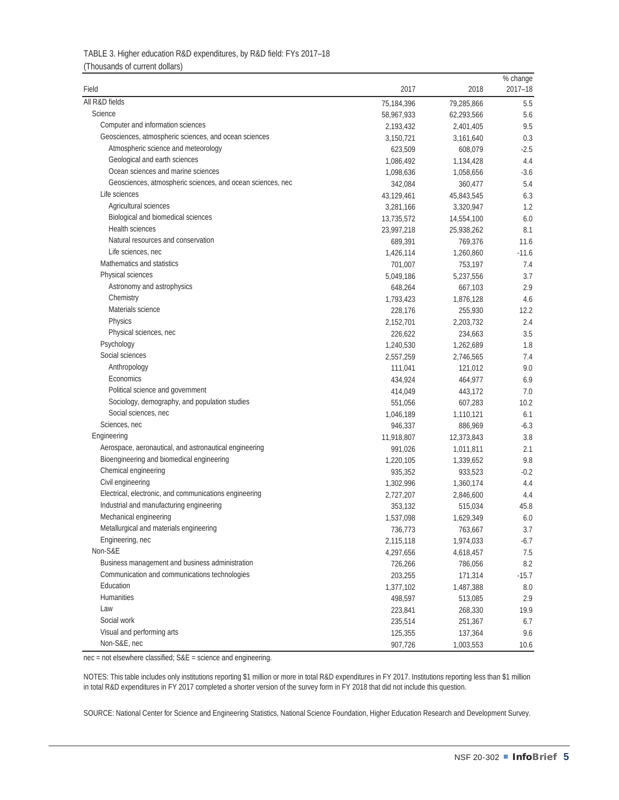| TABLE 3. Higher education R&D expenditures, by R&D field: FYs 2017-18 |
|-----------------------------------------------------------------------|
| (Thousands of current dollars)                                        |

| Field                                                      | 2017       | 2018       | % change<br>$2017 - 18$ |
|------------------------------------------------------------|------------|------------|-------------------------|
| All R&D fields                                             |            |            |                         |
| Science                                                    | 75,184,396 | 79,285,866 | 5.5                     |
| Computer and information sciences                          | 58,967,933 | 62,293,566 | 5.6                     |
| Geosciences, atmospheric sciences, and ocean sciences      | 2,193,432  | 2,401,405  | 9.5                     |
|                                                            | 3,150,721  | 3,161,640  | 0.3                     |
| Atmospheric science and meteorology                        | 623,509    | 608,079    | $-2.5$                  |
| Geological and earth sciences                              | 1,086,492  | 1,134,428  | 4.4                     |
| Ocean sciences and marine sciences                         | 1,098,636  | 1,058,656  | $-3.6$                  |
| Geosciences, atmospheric sciences, and ocean sciences, nec | 342,084    | 360,477    | 5.4                     |
| Life sciences                                              | 43,129,461 | 45,843,545 | 6.3                     |
| Agricultural sciences                                      | 3,281,166  | 3,320,947  | 1.2                     |
| Biological and biomedical sciences                         | 13,735,572 | 14,554,100 | 6.0                     |
| Health sciences                                            | 23,997,218 | 25,938,262 | 8.1                     |
| Natural resources and conservation                         | 689,391    | 769,376    | 11.6                    |
| Life sciences, nec                                         | 1,426,114  | 1,260,860  | $-11.6$                 |
| Mathematics and statistics                                 | 701,007    | 753,197    | 7.4                     |
| Physical sciences                                          | 5,049,186  | 5,237,556  | 3.7                     |
| Astronomy and astrophysics                                 | 648,264    | 667,103    | 2.9                     |
| Chemistry                                                  | 1,793,423  | 1,876,128  | 4.6                     |
| Materials science                                          | 228,176    | 255,930    | 12.2                    |
| <b>Physics</b>                                             | 2,152,701  | 2,203,732  | 2.4                     |
| Physical sciences, nec                                     | 226,622    | 234,663    | 3.5                     |
| Psychology                                                 | 1,240,530  | 1,262,689  | 1.8                     |
| Social sciences                                            | 2,557,259  | 2,746,565  | 7.4                     |
| Anthropology                                               | 111,041    | 121,012    | 9.0                     |
| Economics                                                  | 434,924    | 464,977    | 6.9                     |
| Political science and government                           | 414,049    | 443,172    | 7.0                     |
| Sociology, demography, and population studies              | 551,056    | 607,283    | 10.2                    |
| Social sciences, nec                                       | 1,046,189  | 1,110,121  | 6.1                     |
| Sciences, nec                                              | 946,337    | 886,969    | $-6.3$                  |
| Engineering                                                | 11,918,807 | 12,373,843 | 3.8                     |
| Aerospace, aeronautical, and astronautical engineering     | 991,026    | 1,011,811  | 2.1                     |
| Bioengineering and biomedical engineering                  | 1,220,105  | 1,339,652  | 9.8                     |
| Chemical engineering                                       | 935,352    | 933,523    | $-0.2$                  |
| Civil engineering                                          | 1,302,996  | 1,360,174  | 4.4                     |
| Electrical, electronic, and communications engineering     | 2,727,207  | 2,846,600  | 4.4                     |
| Industrial and manufacturing engineering                   | 353,132    | 515,034    | 45.8                    |
| Mechanical engineering                                     | 1,537,098  | 1,629,349  | 6.0                     |
| Metallurgical and materials engineering                    | 736,773    | 763,667    | 3.7                     |
| Engineering, nec                                           | 2,115,118  | 1,974,033  | $-6.7$                  |
| Non-S&E                                                    | 4,297,656  | 4,618,457  | 7.5                     |
| Business management and business administration            | 726,266    | 786,056    | 8.2                     |
| Communication and communications technologies              | 203,255    | 171,314    | $-15.7$                 |
| Education                                                  | 1,377,102  | 1,487,388  | 8.0                     |
| Humanities                                                 | 498,597    | 513,085    | 2.9                     |
| Law                                                        | 223,841    | 268,330    | 19.9                    |
| Social work                                                | 235,514    | 251,367    | 6.7                     |
| Visual and performing arts                                 | 125,355    | 137,364    | 9.6                     |
| Non-S&E, nec                                               |            |            |                         |
|                                                            | 907,726    | 1,003,553  | 10.6                    |

nec = not elsewhere classified; S&E = science and engineering.

NOTES: This table includes only institutions reporting \$1 million or more in total R&D expenditures in FY 2017. Institutions reporting less than \$1 million in total R&D expenditures in FY 2017 completed a shorter version of the survey form in FY 2018 that did not include this question.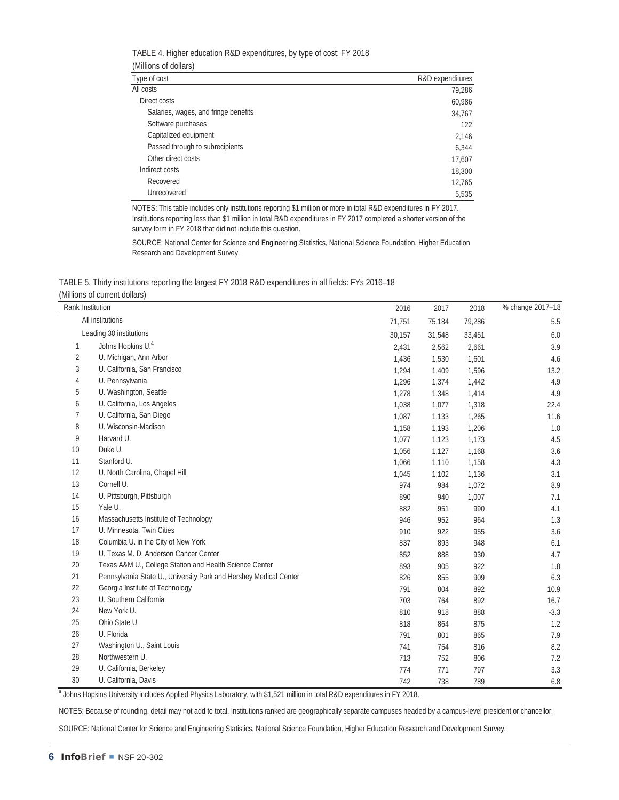| TABLE 4. Higher education R&D expenditures, by type of cost: FY 2018 |
|----------------------------------------------------------------------|
| (Millions of dollars)                                                |
| Tuno of cost                                                         |

| Type of cost                         | R&D expenditures |  |  |  |
|--------------------------------------|------------------|--|--|--|
| All costs                            | 79,286           |  |  |  |
| Direct costs                         | 60,986           |  |  |  |
| Salaries, wages, and fringe benefits | 34,767           |  |  |  |
| Software purchases                   | 122              |  |  |  |
| Capitalized equipment                | 2,146            |  |  |  |
| Passed through to subrecipients      | 6,344            |  |  |  |
| Other direct costs                   | 17,607           |  |  |  |
| Indirect costs                       | 18,300           |  |  |  |
| Recovered                            | 12,765           |  |  |  |
| Unrecovered                          | 5,535            |  |  |  |

NOTES: This table includes only institutions reporting \$1 million or more in total R&D expenditures in FY 2017. Institutions reporting less than \$1 million in total R&D expenditures in FY 2017 completed a shorter version of the survey form in FY 2018 that did not include this question.

SOURCE: National Center for Science and Engineering Statistics, National Science Foundation, Higher Education Research and Development Survey.

TABLE 5. Thirty institutions reporting the largest FY 2018 R&D expenditures in all fields: FYs 2016–18 (Millions of current dollars)

| Rank Institution |                                                                   | 2016   | 2017   | 2018   | % change 2017-18 |
|------------------|-------------------------------------------------------------------|--------|--------|--------|------------------|
|                  | All institutions                                                  | 71,751 | 75,184 | 79,286 | 5.5              |
|                  | Leading 30 institutions                                           | 30,157 | 31,548 | 33,451 | 6.0              |
| 1                | Johns Hopkins U. <sup>a</sup>                                     | 2,431  | 2,562  | 2,661  | 3.9              |
| 2                | U. Michigan, Ann Arbor                                            | 1,436  | 1,530  | 1,601  | 4.6              |
| 3                | U. California, San Francisco                                      | 1,294  | 1,409  | 1,596  | 13.2             |
| 4                | U. Pennsylvania                                                   | 1,296  | 1,374  | 1,442  | 4.9              |
| 5                | U. Washington, Seattle                                            | 1,278  | 1,348  | 1,414  | 4.9              |
| 6                | U. California, Los Angeles                                        | 1,038  | 1,077  | 1,318  | 22.4             |
| 7                | U. California, San Diego                                          | 1,087  | 1,133  | 1,265  | 11.6             |
| 8                | U. Wisconsin-Madison                                              | 1,158  | 1,193  | 1,206  | 1.0              |
| 9                | Harvard U.                                                        | 1,077  | 1,123  | 1,173  | 4.5              |
| 10               | Duke U.                                                           | 1,056  | 1,127  | 1,168  | 3.6              |
| 11               | Stanford U.                                                       | 1,066  | 1,110  | 1,158  | 4.3              |
| 12               | U. North Carolina, Chapel Hill                                    | 1,045  | 1,102  | 1,136  | 3.1              |
| 13               | Cornell U.                                                        | 974    | 984    | 1,072  | 8.9              |
| 14               | U. Pittsburgh, Pittsburgh                                         | 890    | 940    | 1,007  | 7.1              |
| 15               | Yale U.                                                           | 882    | 951    | 990    | 4.1              |
| 16               | Massachusetts Institute of Technology                             | 946    | 952    | 964    | 1.3              |
| 17               | U. Minnesota, Twin Cities                                         | 910    | 922    | 955    | 3.6              |
| 18               | Columbia U. in the City of New York                               | 837    | 893    | 948    | 6.1              |
| 19               | U. Texas M. D. Anderson Cancer Center                             | 852    | 888    | 930    | 4.7              |
| 20               | Texas A&M U., College Station and Health Science Center           | 893    | 905    | 922    | 1.8              |
| 21               | Pennsylvania State U., University Park and Hershey Medical Center | 826    | 855    | 909    | 6.3              |
| 22               | Georgia Institute of Technology                                   | 791    | 804    | 892    | 10.9             |
| 23               | U. Southern California                                            | 703    | 764    | 892    | 16.7             |
| 24               | New York U.                                                       | 810    | 918    | 888    | $-3.3$           |
| 25               | Ohio State U.                                                     | 818    | 864    | 875    | 1.2              |
| 26               | U. Florida                                                        | 791    | 801    | 865    | 7.9              |
| 27               | Washington U., Saint Louis                                        | 741    | 754    | 816    | 8.2              |
| 28               | Northwestern U.                                                   | 713    | 752    | 806    | 7.2              |
| 29               | U. California, Berkeley                                           | 774    | 771    | 797    | 3.3              |
| 30               | U. California, Davis                                              | 742    | 738    | 789    | 6.8              |

<sup>a</sup> Johns Hopkins University includes Applied Physics Laboratory, with \$1,521 million in total R&D expenditures in FY 2018.

NOTES: Because of rounding, detail may not add to total. Institutions ranked are geographically separate campuses headed by a campus-level president or chancellor.